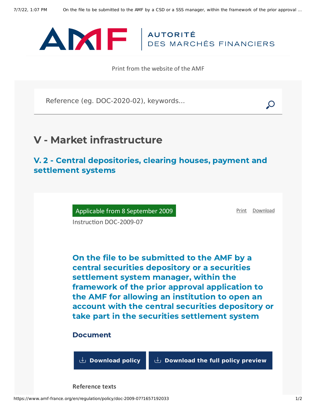

Print from the website of the AMF

Reference (eg. DOC-2020-02), keywords...

## V - Market infrastructure

V. 2 - Central depositories, clearing houses, payment and settlement systems

Applicable from 8 September 2009

[Print](javascript:window.print()) [Download](https://www.amf-france.org/sites/default/files/pdf/63029/en/On_the_file_to_be_submitted_to_the_AMF_by_a_CSD_or_a_SSS_manager%2C_within_the_framework_of_the_prior_approval_application_to_the_AMF_for_allowing_an_institution_to_open_an_account_with_the_CSD_or_take_part_in_the_securities_settlement_system.pdf?1657192034)

Instruction DOC-2009-07

On the file to be submitted to the AMF by a central securities depository or a securities settlement system manager, within the framework of the prior approval application to the AMF for allowing an institution to open an account with the central securities depository or take part in the securities settlement system

## Document

**[Download](https://www.amf-france.org/sites/default/files/doctrine/Instruction/On%20the%20file%20to%20be%20submitted%20to%20the%20AMF%20by%20a%20central%20securities%20depository%20or%20a%20securities%20settlement%20system%20manager%2C%20within%20the%20framework%20of%20the%20prior%20approval%20application%20to%20the%20AMF%20for%20allowing%20an%20institution%20to%20open%20an%20account%20with%20the%20central.pdf) policy [Download](https://www.amf-france.org/sites/default/files/doctrine/63029/en/DOC-2009-07.zip?1657192034) the full policy preview**

**Reference texts**